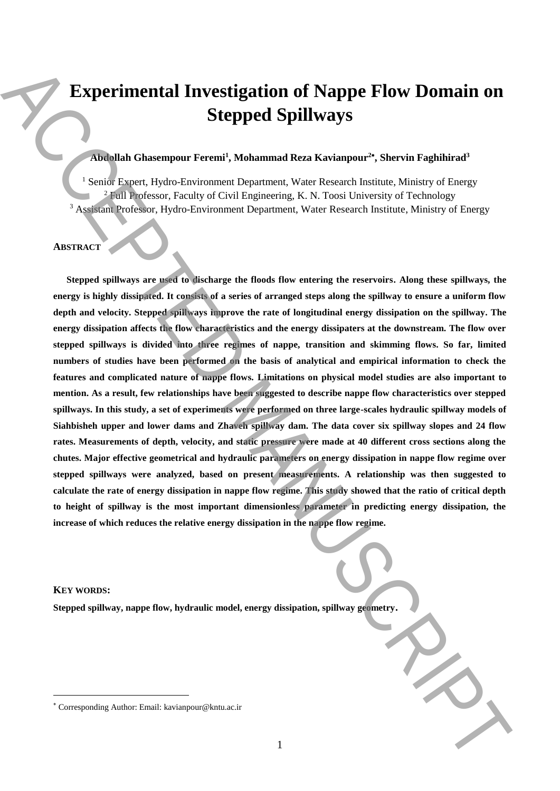# **Experimental Investigation of Nappe Flow Domain on Stepped Spillways**

# **Abdollah Ghasempour Feremi<sup>1</sup> , Mohammad Reza Kavianpour<sup>2</sup> , Shervin Faghihirad<sup>3</sup>**

<sup>1</sup> Senior Expert, Hydro-Environment Department, Water Research Institute, Ministry of Energy <sup>2</sup> Full Professor, Faculty of Civil Engineering, K. N. Toosi University of Technology <sup>3</sup> Assistant Professor, Hydro-Environment Department, Water Research Institute, Ministry of Energy

## **ABSTRACT**

**Stepped spillways are used to discharge the floods flow entering the reservoirs. Along these spillways, the energy is highly dissipated. It consists of a series of arranged steps along the spillway to ensure a uniform flow depth and velocity. Stepped spillways improve the rate of longitudinal energy dissipation on the spillway. The energy dissipation affects the flow characteristics and the energy dissipaters at the downstream. The flow over stepped spillways is divided into three regimes of nappe, transition and skimming flows. So far, limited numbers of studies have been performed on the basis of analytical and empirical information to check the features and complicated nature of nappe flows. Limitations on physical model studies are also important to mention. As a result, few relationships have been suggested to describe nappe flow characteristics over stepped spillways. In this study, a set of experiments were performed on three large-scales hydraulic spillway models of Siahbisheh upper and lower dams and Zhaveh spillway dam. The data cover six spillway slopes and 24 flow rates. Measurements of depth, velocity, and static pressure were made at 40 different cross sections along the chutes. Major effective geometrical and hydraulic parameters on energy dissipation in nappe flow regime over stepped spillways were analyzed, based on present measurements. A relationship was then suggested to calculate the rate of energy dissipation in nappe flow regime. This study showed that the ratio of critical depth to height of spillway is the most important dimensionless parameter in predicting energy dissipation, the increase of which reduces the relative energy dissipation in the nappe flow regime.** Experimental Investigation of Nappe Flow Domain on Stepped Spillways<br>
Comparison (has the corresponding Author: Email: Alexander Research instants. Manage of hangy of higher and the corresponding Author: Accept and the co

### **KEY WORDS:**

**.** 

**Stepped spillway, nappe flow, hydraulic model, energy dissipation, spillway geometry.**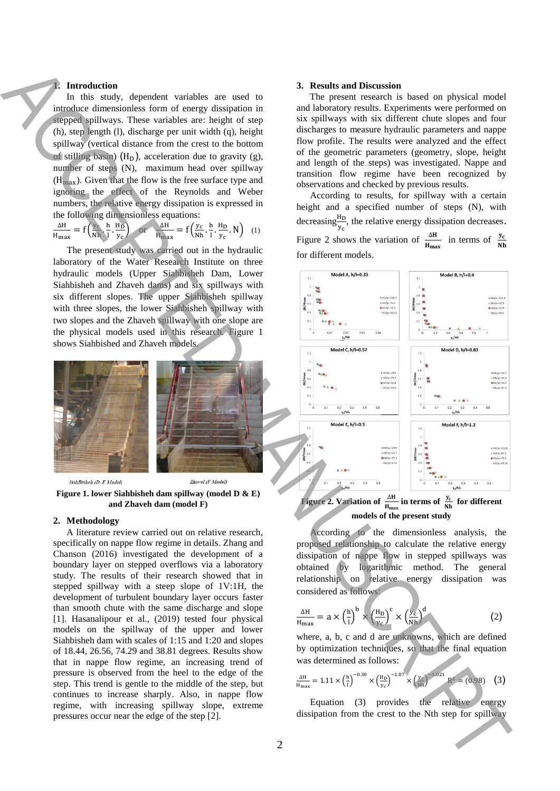#### **1. Introduction**

In this study, dependent variables are used to introduce dimensionless form of energy dissipation in stepped spillways. These variables are: height of step (h), step length (l), discharge per unit width (q), height spillway (vertical distance from the crest to the bottom of stilling basin) ( $H<sub>D</sub>$ ), acceleration due to gravity (g), number of steps (N), maximum head over spillway  $(H<sub>max</sub>)$ . Given that the flow is the free surface type and ignoring the effect of the Reynolds and Weber numbers, the relative energy dissipation is expressed in the following dimensionless equations:

$$
\frac{\Delta H}{H_{\text{max}}} = f\left(\frac{y_c}{Nh}, \frac{h}{i}, \frac{H_D}{y_c}\right) \quad \text{or} \quad \frac{\Delta H}{H_{\text{max}}} = f\left(\frac{y_c}{Nh}, \frac{h}{i}, \frac{H_D}{y_c}, N\right) \tag{1}
$$

The present study was carried out in the hydraulic laboratory of the Water Research Institute on three hydraulic models (Upper Siahbisheh Dam, Lower Siahbisheh and Zhaveh dams) and six spillways with six different slopes. The upper Siahbisheh spillway with three slopes, the lower Siahbisheh spillway with two slopes and the Zhaveh spillway with one slope are the physical models used in this research. Figure 1 shows Siahbished and Zhaveh models.



**Figure 1. lower Siahbisheh dam spillway (model D & E) and Zhaveh dam (model F)** 

#### **2. Methodology**

A literature review carried out on relative research, specifically on nappe flow regime in details. Zhang and Chanson (2016) investigated the development of a boundary layer on stepped overflows via a laboratory study. The results of their research showed that in stepped spillway with a steep slope of 1V:1H, the development of turbulent boundary layer occurs faster than smooth chute with the same discharge and slope [1]. Hasanalipour et al., (2019) tested four physical models on the spillway of the upper and lower Siahbisheh dam with scales of 1:15 and 1:20 and slopes of 18.44, 26.56, 74.29 and 38.81 degrees. Results show that in nappe flow regime, an increasing trend of pressure is observed from the heel to the edge of the step. This trend is gentle to the middle of the step, but continues to increase sharply. Also, in nappe flow regime, with increasing spillway slope, extreme pressures occur near the edge of the step [2].

#### **3. Results and Discussion**

The present research is based on physical model and laboratory results. Experiments were performed on six spillways with six different chute slopes and four discharges to measure hydraulic parameters and nappe flow profile. The results were analyzed and the effect of the geometric parameters (geometry, slope, height and length of the steps) was investigated. Nappe and transition flow regime have been recognized by observations and checked by previous results.

According to results, for spillway with a certain height and a specified number of steps (N), with decreasing  $\frac{H_D}{y_c}$ , the relative energy dissipation decreases. Figure 2 shows the variation of  $\frac{\Delta H}{H_{\text{max}}}$  in terms of  $\frac{y_c}{N!}$  $\frac{yc}{Nh}$ for different models.



# **Figure 2. Variation of**  $\frac{\Delta H}{H_{\text{max}}}$  in terms of  $\frac{y_c}{Nh}$  for different **models of the present study**

According to the dimensionless analysis, the proposed relationship to calculate the relative energy dissipation of nappe flow in stepped spillways was obtained by logarithmic method. The general relationship on relative energy dissipation was considered as follows:

$$
\frac{\Delta H}{H_{\text{max}}} = a \times \left(\frac{h}{l}\right)^b \times \left(\frac{H_D}{y_c}\right)^c \times \left(\frac{y_c}{N h}\right)^d \tag{2}
$$

where, a, b, c and d are unknowns, which are defined by optimization techniques, so that the final equation was determined as follows:

$$
\frac{\Delta H}{H_{\text{max}}} = 1.11 \times \left(\frac{h}{l}\right)^{-0.30} \times \left(\frac{H_D}{y_c}\right)^{-1.07} \times \left(\frac{y_c}{Nh}\right)^{-1.021} R^2 = (0.98) \quad (3)
$$

Equation (3) provides the relative energy